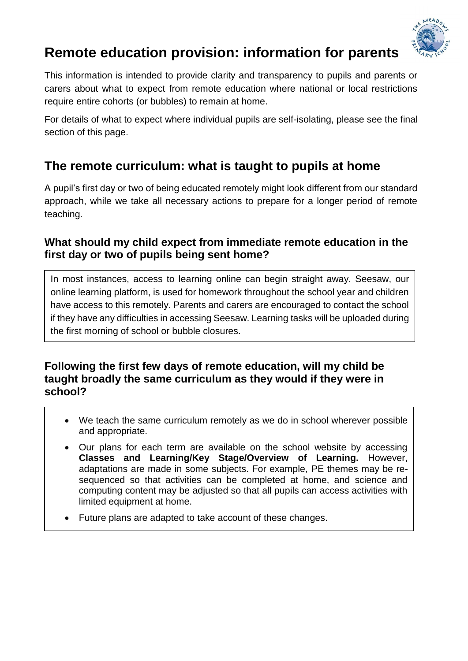

# **Remote education provision: information for parents**

This information is intended to provide clarity and transparency to pupils and parents or carers about what to expect from remote education where national or local restrictions require entire cohorts (or bubbles) to remain at home.

For details of what to expect where individual pupils are self-isolating, please see the final section of this page.

# **The remote curriculum: what is taught to pupils at home**

A pupil's first day or two of being educated remotely might look different from our standard approach, while we take all necessary actions to prepare for a longer period of remote teaching.

### **What should my child expect from immediate remote education in the first day or two of pupils being sent home?**

In most instances, access to learning online can begin straight away. Seesaw, our online learning platform, is used for homework throughout the school year and children have access to this remotely. Parents and carers are encouraged to contact the school if they have any difficulties in accessing Seesaw. Learning tasks will be uploaded during the first morning of school or bubble closures.

### **Following the first few days of remote education, will my child be taught broadly the same curriculum as they would if they were in school?**

- We teach the same curriculum remotely as we do in school wherever possible and appropriate.
- Our plans for each term are available on the school website by accessing **Classes and Learning/Key Stage/Overview of Learning.** However, adaptations are made in some subjects. For example, PE themes may be resequenced so that activities can be completed at home, and science and computing content may be adjusted so that all pupils can access activities with limited equipment at home.
- Future plans are adapted to take account of these changes.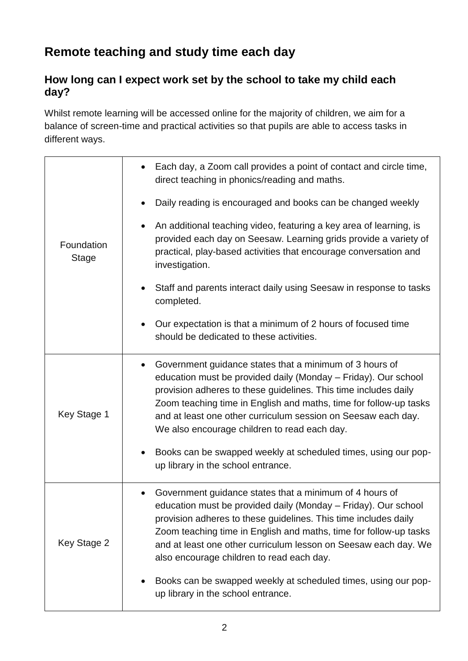# **Remote teaching and study time each day**

### **How long can I expect work set by the school to take my child each day?**

Whilst remote learning will be accessed online for the majority of children, we aim for a balance of screen-time and practical activities so that pupils are able to access tasks in different ways.

| Foundation<br><b>Stage</b> | Each day, a Zoom call provides a point of contact and circle time,<br>direct teaching in phonics/reading and maths.                                                                                                                                                                                                                                                                |
|----------------------------|------------------------------------------------------------------------------------------------------------------------------------------------------------------------------------------------------------------------------------------------------------------------------------------------------------------------------------------------------------------------------------|
|                            | Daily reading is encouraged and books can be changed weekly                                                                                                                                                                                                                                                                                                                        |
|                            | An additional teaching video, featuring a key area of learning, is<br>provided each day on Seesaw. Learning grids provide a variety of<br>practical, play-based activities that encourage conversation and<br>investigation.                                                                                                                                                       |
|                            | Staff and parents interact daily using Seesaw in response to tasks<br>completed.                                                                                                                                                                                                                                                                                                   |
|                            | Our expectation is that a minimum of 2 hours of focused time<br>should be dedicated to these activities.                                                                                                                                                                                                                                                                           |
| Key Stage 1                | Government guidance states that a minimum of 3 hours of<br>education must be provided daily (Monday - Friday). Our school<br>provision adheres to these guidelines. This time includes daily<br>Zoom teaching time in English and maths, time for follow-up tasks<br>and at least one other curriculum session on Seesaw each day.<br>We also encourage children to read each day. |
|                            | Books can be swapped weekly at scheduled times, using our pop-<br>up library in the school entrance.                                                                                                                                                                                                                                                                               |
| Key Stage 2                | Government guidance states that a minimum of 4 hours of<br>education must be provided daily (Monday – Friday). Our school<br>provision adheres to these guidelines. This time includes daily<br>Zoom teaching time in English and maths, time for follow-up tasks<br>and at least one other curriculum lesson on Seesaw each day. We<br>also encourage children to read each day.  |
|                            | Books can be swapped weekly at scheduled times, using our pop-<br>up library in the school entrance.                                                                                                                                                                                                                                                                               |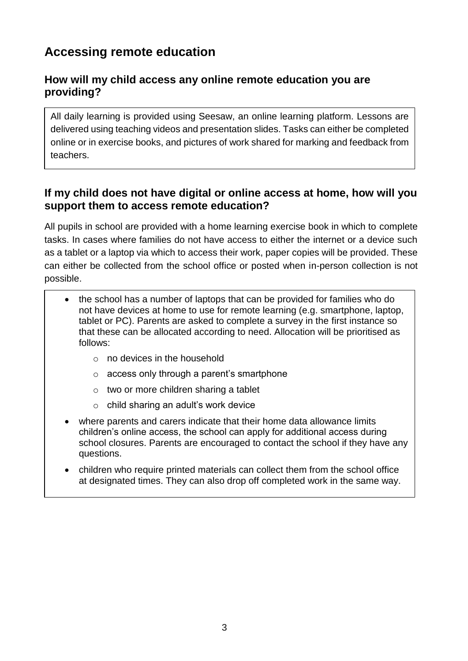# **Accessing remote education**

### **How will my child access any online remote education you are providing?**

All daily learning is provided using Seesaw, an online learning platform. Lessons are delivered using teaching videos and presentation slides. Tasks can either be completed online or in exercise books, and pictures of work shared for marking and feedback from teachers.

### **If my child does not have digital or online access at home, how will you support them to access remote education?**

All pupils in school are provided with a home learning exercise book in which to complete tasks. In cases where families do not have access to either the internet or a device such as a tablet or a laptop via which to access their work, paper copies will be provided. These can either be collected from the school office or posted when in-person collection is not possible.

- the school has a number of laptops that can be provided for families who do not have devices at home to use for remote learning (e.g. smartphone, laptop, tablet or PC). Parents are asked to complete a survey in the first instance so that these can be allocated according to need. Allocation will be prioritised as follows:
	- $\circ$  no devices in the household
	- o access only through a parent's smartphone
	- o two or more children sharing a tablet
	- o child sharing an adult's work device
- where parents and carers indicate that their home data allowance limits children's online access, the school can apply for additional access during school closures. Parents are encouraged to contact the school if they have any questions.
- children who require printed materials can collect them from the school office at designated times. They can also drop off completed work in the same way.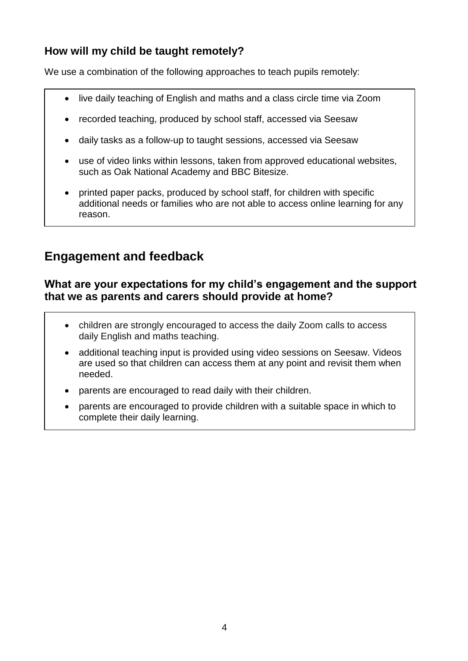### **How will my child be taught remotely?**

We use a combination of the following approaches to teach pupils remotely:

- live daily teaching of English and maths and a class circle time via Zoom
- recorded teaching, produced by school staff, accessed via Seesaw
- daily tasks as a follow-up to taught sessions, accessed via Seesaw
- use of video links within lessons, taken from approved educational websites, such as Oak National Academy and BBC Bitesize.
- printed paper packs, produced by school staff, for children with specific additional needs or families who are not able to access online learning for any reason.

### **Engagement and feedback**

#### **What are your expectations for my child's engagement and the support that we as parents and carers should provide at home?**

- children are strongly encouraged to access the daily Zoom calls to access daily English and maths teaching.
- additional teaching input is provided using video sessions on Seesaw. Videos are used so that children can access them at any point and revisit them when needed.
- parents are encouraged to read daily with their children.
- parents are encouraged to provide children with a suitable space in which to complete their daily learning.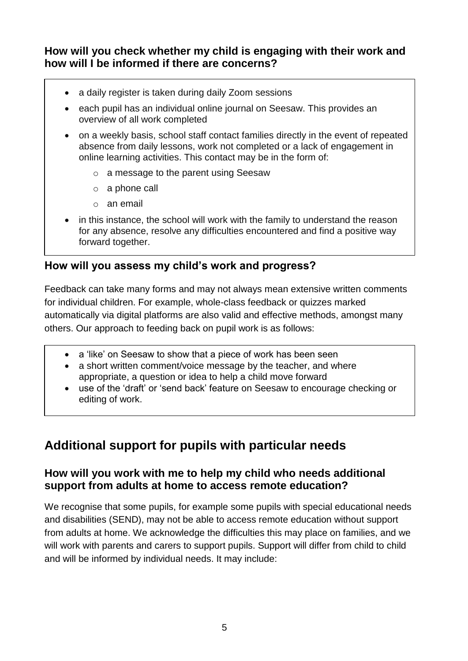### **How will you check whether my child is engaging with their work and how will I be informed if there are concerns?**

- a daily register is taken during daily Zoom sessions
- each pupil has an individual online journal on Seesaw. This provides an overview of all work completed
- on a weekly basis, school staff contact families directly in the event of repeated absence from daily lessons, work not completed or a lack of engagement in online learning activities. This contact may be in the form of:
	- o a message to the parent using Seesaw
	- o a phone call
	- o an email
- in this instance, the school will work with the family to understand the reason for any absence, resolve any difficulties encountered and find a positive way forward together.

### **How will you assess my child's work and progress?**

Feedback can take many forms and may not always mean extensive written comments for individual children. For example, whole-class feedback or quizzes marked automatically via digital platforms are also valid and effective methods, amongst many others. Our approach to feeding back on pupil work is as follows:

- a 'like' on Seesaw to show that a piece of work has been seen
- a short written comment/voice message by the teacher, and where appropriate, a question or idea to help a child move forward
- use of the 'draft' or 'send back' feature on Seesaw to encourage checking or editing of work.

# **Additional support for pupils with particular needs**

### **How will you work with me to help my child who needs additional support from adults at home to access remote education?**

We recognise that some pupils, for example some pupils with special educational needs and disabilities (SEND), may not be able to access remote education without support from adults at home. We acknowledge the difficulties this may place on families, and we will work with parents and carers to support pupils. Support will differ from child to child and will be informed by individual needs. It may include: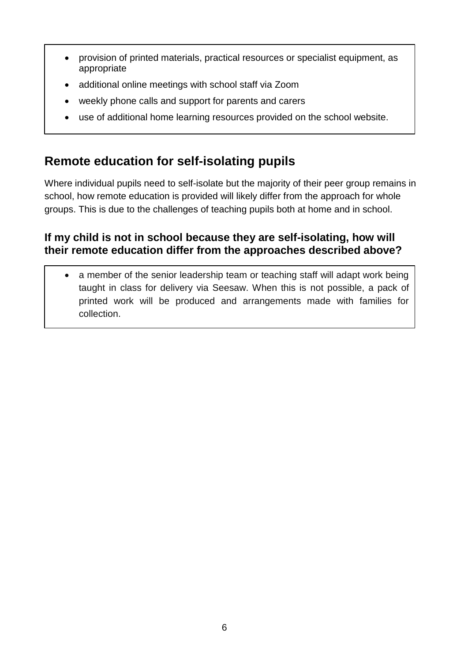- provision of printed materials, practical resources or specialist equipment, as appropriate
- additional online meetings with school staff via Zoom
- weekly phone calls and support for parents and carers
- use of additional home learning resources provided on the school website.

# **Remote education for self-isolating pupils**

Where individual pupils need to self-isolate but the majority of their peer group remains in school, how remote education is provided will likely differ from the approach for whole groups. This is due to the challenges of teaching pupils both at home and in school.

### **If my child is not in school because they are self-isolating, how will their remote education differ from the approaches described above?**

• a member of the senior leadership team or teaching staff will adapt work being taught in class for delivery via Seesaw. When this is not possible, a pack of printed work will be produced and arrangements made with families for collection.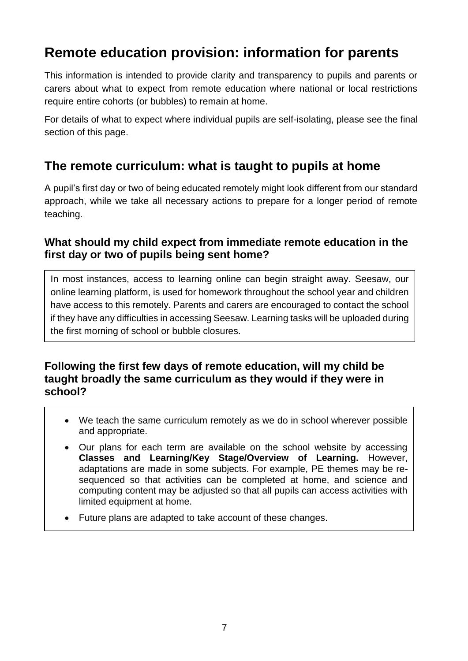# **Remote education provision: information for parents**

This information is intended to provide clarity and transparency to pupils and parents or carers about what to expect from remote education where national or local restrictions require entire cohorts (or bubbles) to remain at home.

For details of what to expect where individual pupils are self-isolating, please see the final section of this page.

### **The remote curriculum: what is taught to pupils at home**

A pupil's first day or two of being educated remotely might look different from our standard approach, while we take all necessary actions to prepare for a longer period of remote teaching.

### **What should my child expect from immediate remote education in the first day or two of pupils being sent home?**

In most instances, access to learning online can begin straight away. Seesaw, our online learning platform, is used for homework throughout the school year and children have access to this remotely. Parents and carers are encouraged to contact the school if they have any difficulties in accessing Seesaw. Learning tasks will be uploaded during the first morning of school or bubble closures.

### **Following the first few days of remote education, will my child be taught broadly the same curriculum as they would if they were in school?**

- We teach the same curriculum remotely as we do in school wherever possible and appropriate.
- Our plans for each term are available on the school website by accessing **Classes and Learning/Key Stage/Overview of Learning.** However, adaptations are made in some subjects. For example, PE themes may be resequenced so that activities can be completed at home, and science and computing content may be adjusted so that all pupils can access activities with limited equipment at home.
- Future plans are adapted to take account of these changes.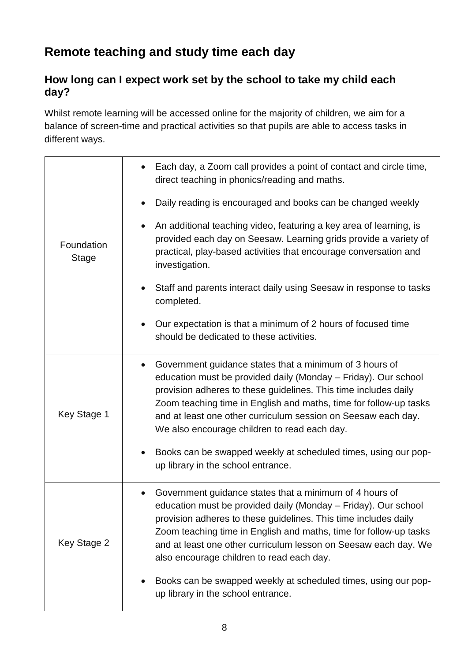# **Remote teaching and study time each day**

### **How long can I expect work set by the school to take my child each day?**

Whilst remote learning will be accessed online for the majority of children, we aim for a balance of screen-time and practical activities so that pupils are able to access tasks in different ways.

| Foundation<br><b>Stage</b> | Each day, a Zoom call provides a point of contact and circle time,<br>direct teaching in phonics/reading and maths.                                                                                                                                                                                                                                                                             |
|----------------------------|-------------------------------------------------------------------------------------------------------------------------------------------------------------------------------------------------------------------------------------------------------------------------------------------------------------------------------------------------------------------------------------------------|
|                            | Daily reading is encouraged and books can be changed weekly                                                                                                                                                                                                                                                                                                                                     |
|                            | An additional teaching video, featuring a key area of learning, is<br>provided each day on Seesaw. Learning grids provide a variety of<br>practical, play-based activities that encourage conversation and<br>investigation.                                                                                                                                                                    |
|                            | Staff and parents interact daily using Seesaw in response to tasks<br>completed.                                                                                                                                                                                                                                                                                                                |
|                            | Our expectation is that a minimum of 2 hours of focused time<br>should be dedicated to these activities.                                                                                                                                                                                                                                                                                        |
| Key Stage 1                | Government guidance states that a minimum of 3 hours of<br>$\bullet$<br>education must be provided daily (Monday - Friday). Our school<br>provision adheres to these guidelines. This time includes daily<br>Zoom teaching time in English and maths, time for follow-up tasks<br>and at least one other curriculum session on Seesaw each day.<br>We also encourage children to read each day. |
|                            | Books can be swapped weekly at scheduled times, using our pop-<br>up library in the school entrance.                                                                                                                                                                                                                                                                                            |
| Key Stage 2                | Government guidance states that a minimum of 4 hours of<br>education must be provided daily (Monday – Friday). Our school<br>provision adheres to these guidelines. This time includes daily<br>Zoom teaching time in English and maths, time for follow-up tasks<br>and at least one other curriculum lesson on Seesaw each day. We<br>also encourage children to read each day.               |
|                            | Books can be swapped weekly at scheduled times, using our pop-<br>up library in the school entrance.                                                                                                                                                                                                                                                                                            |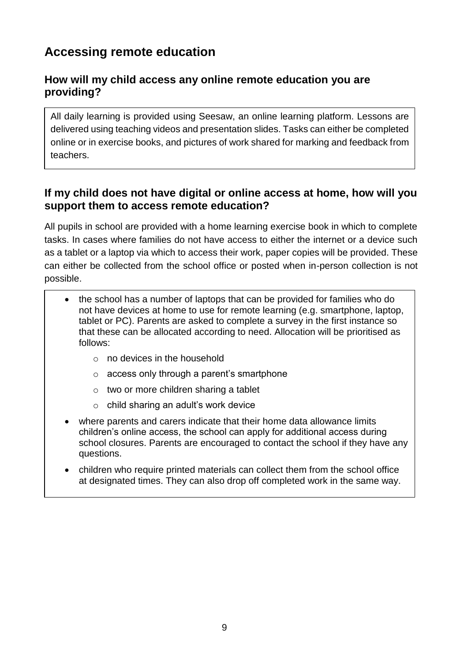# **Accessing remote education**

### **How will my child access any online remote education you are providing?**

All daily learning is provided using Seesaw, an online learning platform. Lessons are delivered using teaching videos and presentation slides. Tasks can either be completed online or in exercise books, and pictures of work shared for marking and feedback from teachers.

### **If my child does not have digital or online access at home, how will you support them to access remote education?**

All pupils in school are provided with a home learning exercise book in which to complete tasks. In cases where families do not have access to either the internet or a device such as a tablet or a laptop via which to access their work, paper copies will be provided. These can either be collected from the school office or posted when in-person collection is not possible.

- the school has a number of laptops that can be provided for families who do not have devices at home to use for remote learning (e.g. smartphone, laptop, tablet or PC). Parents are asked to complete a survey in the first instance so that these can be allocated according to need. Allocation will be prioritised as follows:
	- $\circ$  no devices in the household
	- o access only through a parent's smartphone
	- o two or more children sharing a tablet
	- o child sharing an adult's work device
- where parents and carers indicate that their home data allowance limits children's online access, the school can apply for additional access during school closures. Parents are encouraged to contact the school if they have any questions.
- children who require printed materials can collect them from the school office at designated times. They can also drop off completed work in the same way.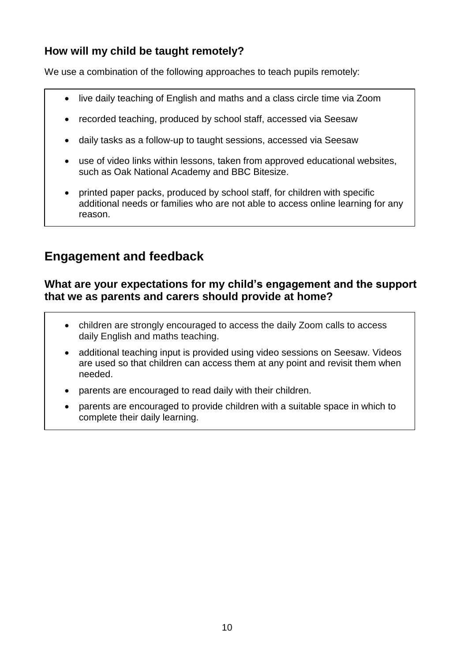### **How will my child be taught remotely?**

We use a combination of the following approaches to teach pupils remotely:

- live daily teaching of English and maths and a class circle time via Zoom
- recorded teaching, produced by school staff, accessed via Seesaw
- daily tasks as a follow-up to taught sessions, accessed via Seesaw
- use of video links within lessons, taken from approved educational websites, such as Oak National Academy and BBC Bitesize.
- printed paper packs, produced by school staff, for children with specific additional needs or families who are not able to access online learning for any reason.

### **Engagement and feedback**

#### **What are your expectations for my child's engagement and the support that we as parents and carers should provide at home?**

- children are strongly encouraged to access the daily Zoom calls to access daily English and maths teaching.
- additional teaching input is provided using video sessions on Seesaw. Videos are used so that children can access them at any point and revisit them when needed.
- parents are encouraged to read daily with their children.
- parents are encouraged to provide children with a suitable space in which to complete their daily learning.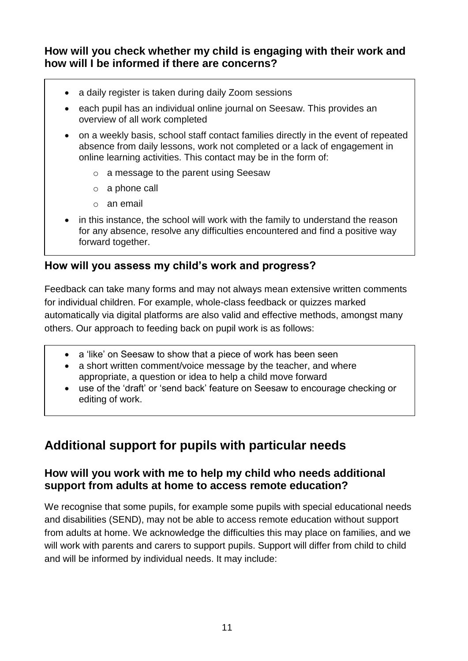### **How will you check whether my child is engaging with their work and how will I be informed if there are concerns?**

- a daily register is taken during daily Zoom sessions
- each pupil has an individual online journal on Seesaw. This provides an overview of all work completed
- on a weekly basis, school staff contact families directly in the event of repeated absence from daily lessons, work not completed or a lack of engagement in online learning activities. This contact may be in the form of:
	- o a message to the parent using Seesaw
	- o a phone call
	- o an email
- in this instance, the school will work with the family to understand the reason for any absence, resolve any difficulties encountered and find a positive way forward together.

### **How will you assess my child's work and progress?**

Feedback can take many forms and may not always mean extensive written comments for individual children. For example, whole-class feedback or quizzes marked automatically via digital platforms are also valid and effective methods, amongst many others. Our approach to feeding back on pupil work is as follows:

- a 'like' on Seesaw to show that a piece of work has been seen
- a short written comment/voice message by the teacher, and where appropriate, a question or idea to help a child move forward
- use of the 'draft' or 'send back' feature on Seesaw to encourage checking or editing of work.

# **Additional support for pupils with particular needs**

### **How will you work with me to help my child who needs additional support from adults at home to access remote education?**

We recognise that some pupils, for example some pupils with special educational needs and disabilities (SEND), may not be able to access remote education without support from adults at home. We acknowledge the difficulties this may place on families, and we will work with parents and carers to support pupils. Support will differ from child to child and will be informed by individual needs. It may include: